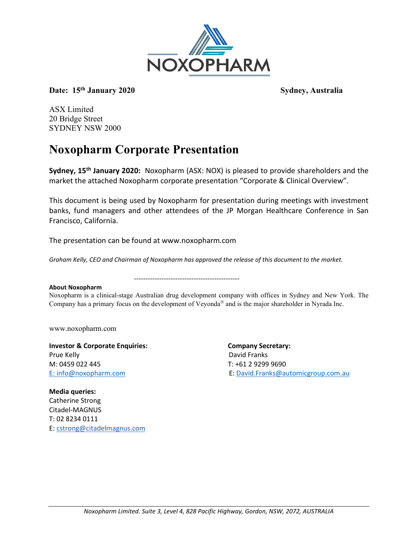

Date: 15<sup>th</sup> January 2020 Sydney, Australia

ASX Limited 20 Bridge Street SYDNEY NSW 2000

#### **Noxopharm Corporate Presentation**

**Sydney, 15th January 2020:** Noxopharm (ASX: NOX) is pleased to provide shareholders and the market the attached Noxopharm corporate presentation "Corporate & Clinical Overview".

This document is being used by Noxopharm for presentation during meetings with investment banks, fund managers and other attendees of the JP Morgan Healthcare Conference in San Francisco, California.

The presentation can be found at www.noxopharm.com

----------------------------------------------

*Graham Kelly, CEO and Chairman of Noxopharm has approved the release of this document to the market.*

#### **About Noxopharm**

Noxopharm is a clinical-stage Australian drug development company with offices in Sydney and New York. The Company has a primary focus on the development of Veyonda<sup>®</sup> and is the major shareholder in Nyrada Inc.

www.noxopharm.com

**Investor & Corporate Enquiries: Company Secretary:**  Prue Kelly **David Franks** M: 0459 022 445 T: +61 2 9299 9690

E: [info@noxopharm.com](mailto:info@noxopharm.com) E: [David.Franks@automicgroup.com.au](mailto:David.Franks@automicgroup.com.au)

**Media queries:** Catherine Strong Citadel-MAGNUS T: 02 8234 0111 E: [cstrong@citadelmagnus.com](mailto:cstrong@citadelmagnus.com)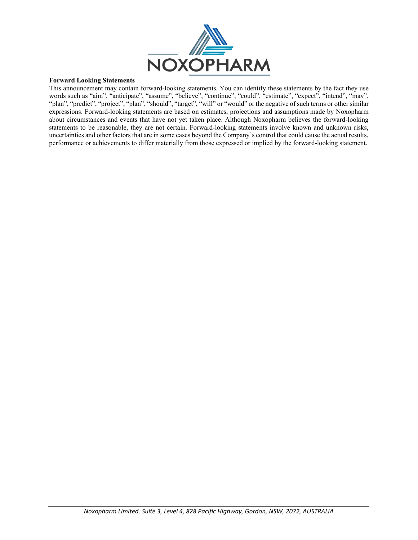

#### **Forward Looking Statements**

This announcement may contain forward-looking statements. You can identify these statements by the fact they use words such as "aim", "anticipate", "assume", "believe", "continue", "could", "estimate", "expect", "intend", "may", "plan", "predict", "project", "plan", "should", "target", "will" or "would" or the negative of such terms or other similar expressions. Forward-looking statements are based on estimates, projections and assumptions made by Noxopharm about circumstances and events that have not yet taken place. Although Noxopharm believes the forward-looking statements to be reasonable, they are not certain. Forward-looking statements involve known and unknown risks, uncertainties and other factors that are in some cases beyond the Company's control that could cause the actual results, performance or achievements to differ materially from those expressed or implied by the forward-looking statement.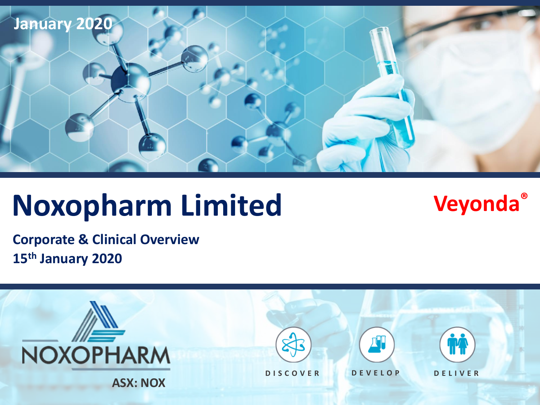

# **Noxopharm Limited Veyonda®**

**Corporate & Clinical Overview 15th January 2020**

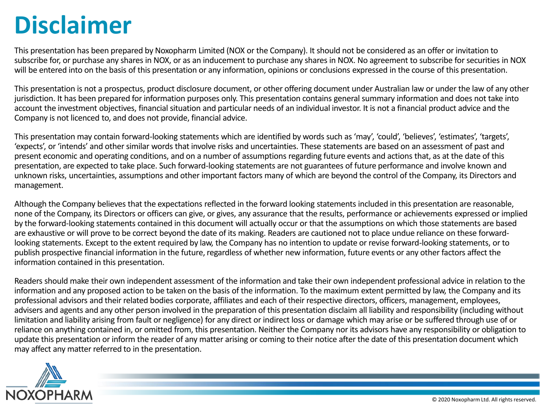### **Disclaimer**

This presentation has been prepared by Noxopharm Limited (NOX or the Company). It should not be considered as an offer or invitation to subscribe for, or purchase any shares in NOX, or as an inducement to purchase any shares in NOX. No agreement to subscribe for securities in NOX will be entered into on the basis of this presentation or any information, opinions or conclusions expressed in the course of this presentation.

This presentation is not a prospectus, product disclosure document, or other offering document under Australian law or under the law of any other jurisdiction. It has been prepared for information purposes only. This presentation contains general summary information and does not take into account the investment objectives, financial situation and particular needs of an individual investor. It is not a financial product advice and the Company is not licenced to, and does not provide, financial advice.

This presentation may contain forward-looking statements which are identified by words such as 'may', 'could', 'believes', 'estimates', 'targets', 'expects', or 'intends' and other similar words that involve risks and uncertainties. These statements are based on an assessment of past and present economic and operating conditions, and on a number of assumptions regarding future events and actions that, as at the date of this presentation, are expected to take place. Such forward-looking statements are not guarantees of future performance and involve known and unknown risks, uncertainties, assumptions and other important factors many of which are beyond the control of the Company, its Directors and management.

Although the Company believes that the expectations reflected in the forward looking statements included in this presentation are reasonable, none of the Company, its Directors or officers can give, or gives, any assurance that the results, performance or achievements expressed or implied by the forward-looking statements contained in this document will actually occur or that the assumptions on which those statements are based are exhaustive or will prove to be correct beyond the date of its making. Readers are cautioned not to place undue reliance on these forwardlooking statements. Except to the extent required by law, the Company has no intention to update or revise forward-looking statements, or to publish prospective financial information in the future, regardless of whether new information, future events or any other factors affect the information contained in this presentation.

Readers should make their own independent assessment of the information and take their own independent professional advice in relation to the information and any proposed action to be taken on the basis of the information. To the maximum extent permitted by law, the Company and its professional advisors and their related bodies corporate, affiliates and each of their respective directors, officers, management, employees, advisers and agents and any other person involved in the preparation of this presentation disclaim all liability and responsibility (including without limitation and liability arising from fault or negligence) for any direct or indirect loss or damage which may arise or be suffered through use of or reliance on anything contained in, or omitted from, this presentation. Neither the Company nor its advisors have any responsibility or obligation to update this presentation or inform the reader of any matter arising or coming to their notice after the date of this presentation document which may affect any matter referred to in the presentation.

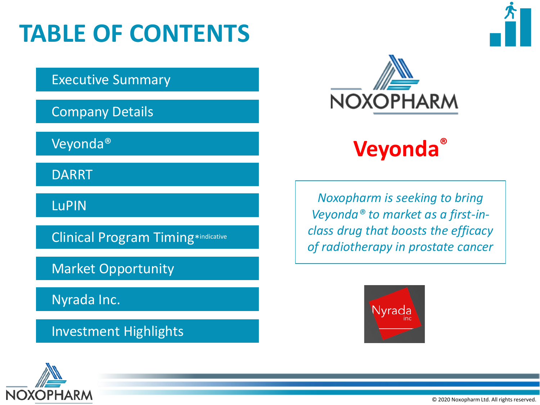# **TABLE OF CONTENTS**

Executive Summary

Company Details

Veyonda®

DARRT

LuPIN

Clinical Program Timing\*indicative

Market Opportunity

Nyrada Inc.

Investment Highlights



**Veyonda®**

*Noxopharm is seeking to bring Veyonda® to market as a first-inclass drug that boosts the efficacy of radiotherapy in prostate cancer*





© 2020 Noxopharm Ltd. All rights reserved.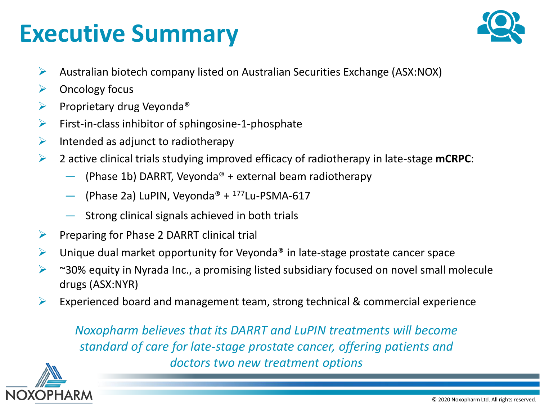### **Executive Summary**



- ➢ Australian biotech company listed on Australian Securities Exchange (ASX:NOX)
- $\triangleright$  Oncology focus
- $\triangleright$  Proprietary drug Veyonda<sup>®</sup>
- $\triangleright$  First-in-class inhibitor of sphingosine-1-phosphate
- $\triangleright$  Intended as adjunct to radiotherapy
- ➢ 2 active clinical trials studying improved efficacy of radiotherapy in late-stage **mCRPC**:
	- (Phase 1b) DARRT, Veyonda<sup>®</sup> + external beam radiotherapy
	- (Phase 2a) LuPIN, Veyonda<sup>®</sup> +  $177$ Lu-PSMA-617
	- Strong clinical signals achieved in both trials
- $\triangleright$  Preparing for Phase 2 DARRT clinical trial
- $\triangleright$  Unique dual market opportunity for Veyonda<sup>®</sup> in late-stage prostate cancer space
- ➢ ~30% equity in Nyrada Inc., a promising listed subsidiary focused on novel small molecule drugs (ASX:NYR)
- $\triangleright$  Experienced board and management team, strong technical & commercial experience

*Noxopharm believes that its DARRT and LuPIN treatments will become standard of care for late-stage prostate cancer, offering patients and doctors two new treatment options*

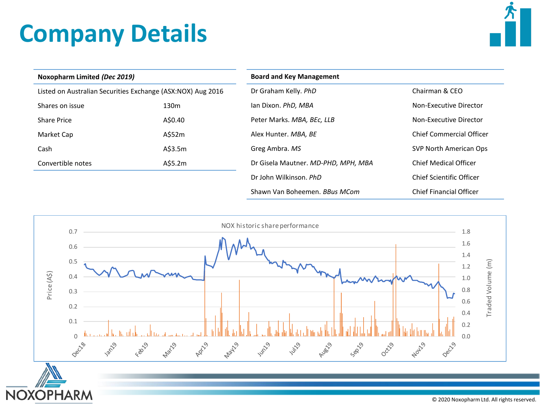# **Company Details**



| Noxopharm Limited (Dec 2019)                                |                  | <b>Board and Key Management</b>     |                                 |  |
|-------------------------------------------------------------|------------------|-------------------------------------|---------------------------------|--|
| Listed on Australian Securities Exchange (ASX:NOX) Aug 2016 |                  | Dr Graham Kelly. PhD                | Chairman & CEO                  |  |
| Shares on issue                                             | 130 <sub>m</sub> | lan Dixon. PhD, MBA                 | Non-Executive Director          |  |
| Share Price                                                 | A\$0.40          | Peter Marks. MBA, BEC, LLB          | Non-Executive Director          |  |
| Market Cap                                                  | A\$52m           | Alex Hunter. MBA, BE                | <b>Chief Commercial Officer</b> |  |
| Cash                                                        | A\$3.5m          | Greg Ambra. MS                      | SVP North American Ops          |  |
| Convertible notes                                           | A\$5.2m          | Dr Gisela Mautner. MD-PHD, MPH, MBA | <b>Chief Medical Officer</b>    |  |
|                                                             |                  | Dr John Wilkinson, PhD              | Chief Scientific Officer        |  |
|                                                             |                  | Shawn Van Boheemen. BBus MCom       | <b>Chief Financial Officer</b>  |  |



© 2020 Noxopharm Ltd. All rights reserved.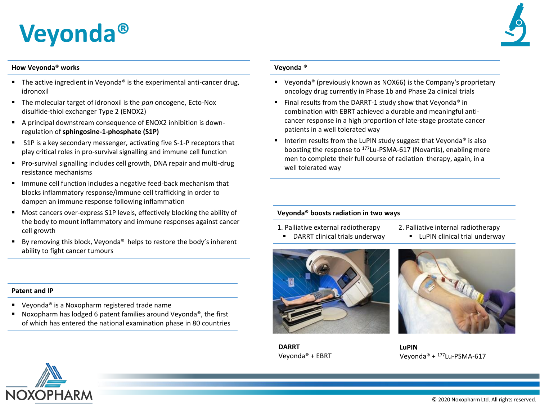### **Veyonda®**

#### **How Veyonda® works**

- **E** The active ingredient in Veyonda<sup>®</sup> is the experimental anti-cancer drug, idronoxil
- The molecular target of idronoxil is the *pan* oncogene, Ecto-Nox disulfide-thiol exchanger Type 2 (ENOX2)
- A principal downstream consequence of ENOX2 inhibition is downregulation of **sphingosine-1-phosphate (S1P)**
- S1P is a key secondary messenger, activating five S-1-P receptors that play critical roles in pro-survival signalling and immune cell function
- Pro-survival signalling includes cell growth, DNA repair and multi-drug resistance mechanisms
- **■** Immune cell function includes a negative feed-back mechanism that blocks inflammatory response/immune cell trafficking in order to dampen an immune response following inflammation
- Most cancers over-express S1P levels, effectively blocking the ability of the body to mount inflammatory and immune responses against cancer cell growth
- By removing this block, Veyonda<sup>®</sup> helps to restore the body's inherent ability to fight cancer tumours

#### **Patent and IP**

- Veyonda<sup>®</sup> is a Noxopharm registered trade name
- Noxopharm has lodged 6 patent families around Veyonda®, the first of which has entered the national examination phase in 80 countries

#### **Veyonda ®**

- Veyonda<sup>®</sup> (previously known as NOX66) is the Company's proprietary oncology drug currently in Phase 1b and Phase 2a clinical trials
- Final results from the DARRT-1 study show that Veyonda<sup>®</sup> in combination with EBRT achieved a durable and meaningful anticancer response in a high proportion of late-stage prostate cancer patients in a well tolerated way
- Interim results from the LuPIN study suggest that Veyonda<sup>®</sup> is also boosting the response to <sup>177</sup>Lu-PSMA-617 (Novartis), enabling more men to complete their full course of radiation therapy, again, in a well tolerated way

#### **Veyonda® boosts radiation in two ways**

- 1. Palliative external radiotherapy
- DARRT clinical trials underway
- 2. Palliative internal radiotherapy



**DARRT** Veyonda® + EBRT





**LuPIN** Veyonda® + 177Lu-PSMA-617

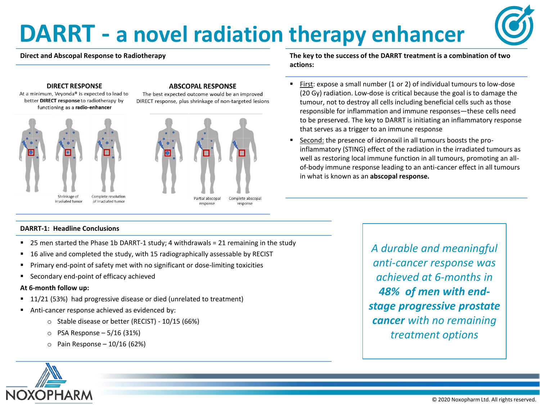### **DARRT - a novel radiation therapy enhancer**



#### **DIRECT RESPONSE**

At a minimum, Veyonda® is expected to lead to better DIRECT response to radiotherapy by functioning as a radio-enhancer





The best expected outcome would be an improved DIRECT response, plus shrinkage of non-targeted lesions



**The key to the success of the DARRT treatment is a combination of two actions:**

- First: expose a small number (1 or 2) of individual tumours to low-dose (20 Gy) radiation. Low-dose is critical because the goal is to damage the tumour, not to destroy all cells including beneficial cells such as those responsible for inflammation and immune responses—these cells need to be preserved. The key to DARRT is initiating an inflammatory response that serves as a trigger to an immune response
- Second: the presence of idronoxil in all tumours boosts the proinflammatory (STING) effect of the radiation in the irradiated tumours as well as restoring local immune function in all tumours, promoting an allof-body immune response leading to an anti-cancer effect in all tumours in what is known as an **abscopal response.**

#### **DARRT-1: Headline Conclusions**

- 25 men started the Phase 1b DARRT-1 study; 4 withdrawals = 21 remaining in the study
- 16 alive and completed the study, with 15 radiographically assessable by RECIST
- Primary end-point of safety met with no significant or dose-limiting toxicities
- Secondary end-point of efficacy achieved

#### **At 6-month follow up:**

- 11/21 (53%) had progressive disease or died (unrelated to treatment)
- Anti-cancer response achieved as evidenced by:
	- o Stable disease or better (RECIST) 10/15 (66%)
	- $\circ$  PSA Response 5/16 (31%)
	- $\circ$  Pain Response 10/16 (62%)

*A durable and meaningful anti-cancer response was achieved at 6-months in 48% of men with endstage progressive prostate cancer with no remaining treatment options*

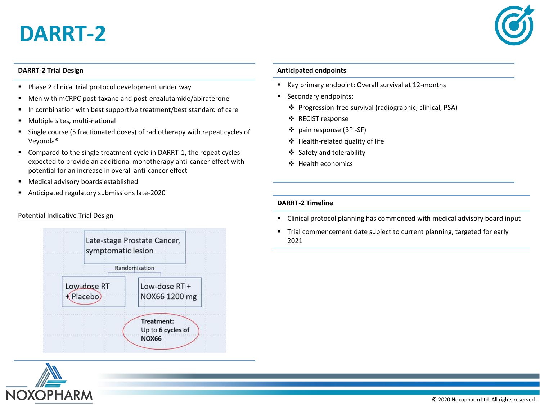### **DARRT-2**



#### **DARRT-2 Trial Design**

- Phase 2 clinical trial protocol development under way
- Men with mCRPC post-taxane and post-enzalutamide/abiraterone
- In combination with best supportive treatment/best standard of care
- Multiple sites, multi-national
- Single course (5 fractionated doses) of radiotherapy with repeat cycles of Veyonda®
- Compared to the single treatment cycle in DARRT-1, the repeat cycles expected to provide an additional monotherapy anti-cancer effect with potential for an increase in overall anti-cancer effect
- Medical advisory boards established
- Anticipated regulatory submissions late-2020

#### Potential Indicative Trial Design



# **NOXOPHARM**

#### **Anticipated endpoints**

- Key primary endpoint: Overall survival at 12-months
- Secondary endpoints:
	- ❖ Progression-free survival (radiographic, clinical, PSA)
	- ❖ RECIST response
	- ❖ pain response (BPI-SF)
	- ❖ Health-related quality of life
	- ❖ Safety and tolerability
	- ❖ Health economics

#### **DARRT-2 Timeline**

- Clinical protocol planning has commenced with medical advisory board input
- Trial commencement date subject to current planning, targeted for early 2021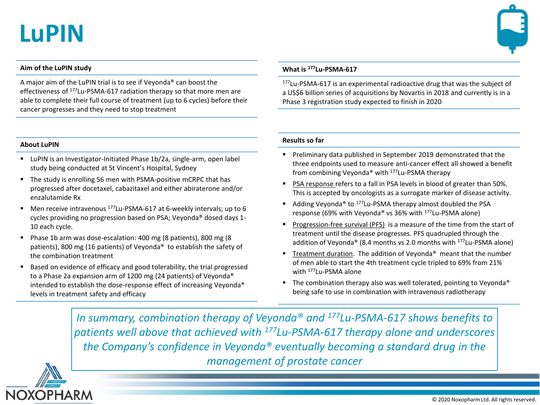### **LuPIN**



#### **Aim of the LuPIN study**

A major aim of the LuPIN trial is to see if Veyonda® can boost the effectiveness of <sup>177</sup>Lu-PSMA-617 radiation therapy so that more men are able to complete their full course of treatment (up to 6 cycles) before their cancer progresses and they need to stop treatment

#### **What is <sup>177</sup>Lu-PSMA-617**

<sup>177</sup>Lu-PSMA-617 is an experimental radioactive drug that was the subject of a US\$6 billion series of acquisitions by Novartis in 2018 and currently is in a Phase 3 registration study expected to finish in 2020

#### **About LuPIN**

- LuPIN is an Investigator-Initiated Phase 1b/2a, single-arm, open label study being conducted at St Vincent's Hospital, Sydney
- The study is enrolling 56 men with PSMA-positive mCRPC that has progressed after docetaxel, cabazitaxel and either abiraterone and/or enzalutamide Rx
- Men receive intravenous <sup>177</sup>Lu-PSMA-617 at 6-weekly intervals; up to 6 cycles providing no progression based on PSA; Veyonda® dosed days 1- 10 each cycle.
- Phase 1b arm was dose-escalation: 400 mg (8 patients), 800 mg (8 patients), 800 mg (16 patients) of Veyonda® to establish the safety of the combination treatment
- Based on evidence of efficacy and good tolerability, the trial progressed to a Phase 2a expansion arm of 1200 mg (24 patients) of Veyonda® intended to establish the dose-response effect of increasing Veyonda® levels in treatment safety and efficacy

#### **Results so far**

- Preliminary data published in September 2019 demonstrated that the three endpoints used to measure anti-cancer effect all showed a benefit from combining Veyonda® with <sup>177</sup>Lu-PSMA therapy
- PSA response refers to a fall in PSA levels in blood of greater than 50%. This is accepted by oncologists as a surrogate marker of disease activity.
- Adding Veyonda<sup>®</sup> to <sup>177</sup>Lu-PSMA therapy almost doubled the PSA response (69% with Veyonda® vs 36% with <sup>177</sup>Lu-PSMA alone)
- Progression-free survival (PFS) is a measure of the time from the start of treatment until the disease progresses. PFS quadrupled through the addition of Veyonda® (8.4 months vs 2.0 months with <sup>177</sup>Lu-PSMA alone)
- Treatment duration. The addition of Veyonda<sup>®</sup> meant that the number of men able to start the 4th treatment cycle tripled to 69% from 21% with <sup>177</sup>Lu-PSMA alone
- The combination therapy also was well tolerated, pointing to Veyonda<sup>®</sup> being safe to use in combination with intravenous radiotherapy

*In summary, combination therapy of Veyonda® and <sup>177</sup>Lu-PSMA-617 shows benefits to patients well above that achieved with <sup>177</sup>Lu-PSMA-617 therapy alone and underscores the Company's confidence in Veyonda® eventually becoming a standard drug in the management of prostate cancer*

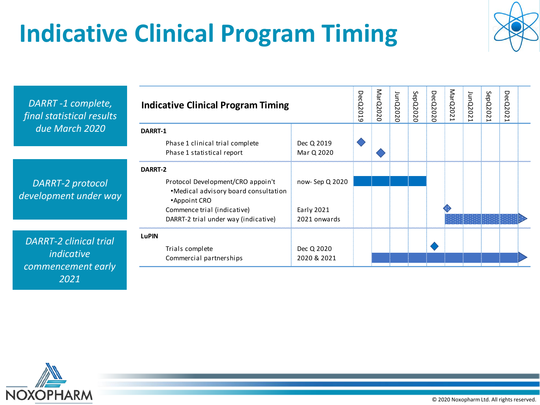# **Indicative Clinical Program Timing**



| DARRT-1 complete,<br>final statistical results                           | <b>Indicative Clinical Program Timing</b>                                                            |                            | DecQ2019 | MarQ2020 | JunQ2020 | SepQ2020 | <b>DecQ2020</b> | MarQ202 | JunQ202 | SepQ202 | Dec<br>Q2<br>Z |  |
|--------------------------------------------------------------------------|------------------------------------------------------------------------------------------------------|----------------------------|----------|----------|----------|----------|-----------------|---------|---------|---------|----------------|--|
| due March 2020                                                           | DARRT-1<br>Phase 1 clinical trial complete<br>Phase 1 statistical report                             | Dec Q 2019<br>Mar Q 2020   |          |          |          |          |                 |         |         |         |                |  |
| DARRT-2 protocol<br>development under way                                | DARRT-2<br>Protocol Development/CRO appoin't<br>•Medical advisory board consultation<br>•Appoint CRO | now-Sep Q 2020             |          |          |          |          |                 |         |         |         |                |  |
|                                                                          | Commence trial (indicative)<br>DARRT-2 trial under way (indicative)                                  | Early 2021<br>2021 onwards |          |          |          |          |                 |         |         |         |                |  |
| <b>DARRT-2 clinical trial</b><br><i>indicative</i><br>commencement early | <b>LuPIN</b><br>Trials complete<br>Commercial partnerships                                           | Dec Q 2020<br>2020 & 2021  |          |          |          |          |                 |         |         |         |                |  |



*2021*

© 2020 Noxopharm Ltd. All rights reserved.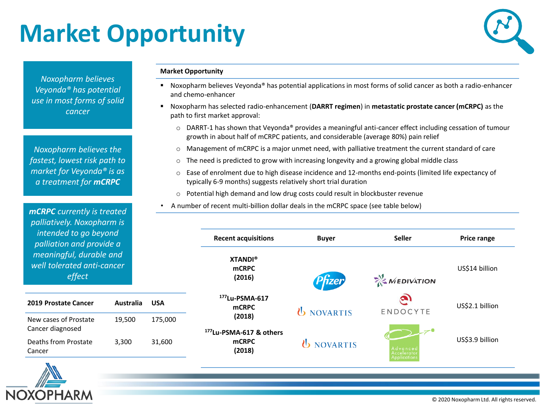# **Market Opportunity**



*Noxopharm believes Veyonda® has potential use in most forms of solid cancer*

*Noxopharm believes the fastest, lowest risk path to market for Veyonda® is as a treatment for mCRPC*

*mCRPC currently is treated palliatively. Noxopharm is intended to go beyond palliation and provide a meaningful, durable and well tolerated anti-cancer effect*

| 2019 Prostate Cancer                      | Australia | <b>USA</b> |
|-------------------------------------------|-----------|------------|
| New cases of Prostate<br>Cancer diagnosed | 19,500    | 175,000    |
| Deaths from Prostate<br>Cancer            | 3,300     | 31,600     |

#### **Market Opportunity**

- Noxopharm believes Veyonda® has potential applications in most forms of solid cancer as both a radio-enhancer and chemo-enhancer
- Noxopharm has selected radio-enhancement (**DARRT regimen**) in **metastatic prostate cancer (mCRPC)** as the path to first market approval:
	- $\circ$  DARRT-1 has shown that Veyonda® provides a meaningful anti-cancer effect including cessation of tumour growth in about half of mCRPC patients, and considerable (average 80%) pain relief
	- o Management of mCRPC is a major unmet need, with palliative treatment the current standard of care
	- $\circ$  The need is predicted to grow with increasing longevity and a growing global middle class
	- o Ease of enrolment due to high disease incidence and 12-months end-points (limited life expectancy of typically 6-9 months) suggests relatively short trial duration
	- $\circ$  Potential high demand and low drug costs could result in blockbuster revenue
	- A number of recent multi-billion dollar deals in the mCRPC space (see table below)

| <b>Recent acquisitions</b>                                    | <b>Buyer</b>             | <b>Seller</b>                                  | <b>Price range</b> |
|---------------------------------------------------------------|--------------------------|------------------------------------------------|--------------------|
| <b>XTANDI®</b><br><b>mCRPC</b><br>(2016)                      | Pfizer                   | $\sum_{k=1}^{M} M \in \text{DIVATION}$         | US\$14 billion     |
| <sup>177</sup> Lu-PSMA-617<br><b>mCRPC</b><br>(2018)          | <b><i>U</i></b> NOVARTIS | $\mathbf{z}$<br>ENDOCYTE                       | US\$2.1 billion    |
| <sup>177</sup> Lu-PSMA-617 & others<br><b>mCRPC</b><br>(2018) | <b><i>U</i></b> NOVARTIS | Advanced<br>Accelerator<br><b>Applications</b> | US\$3.9 billion    |

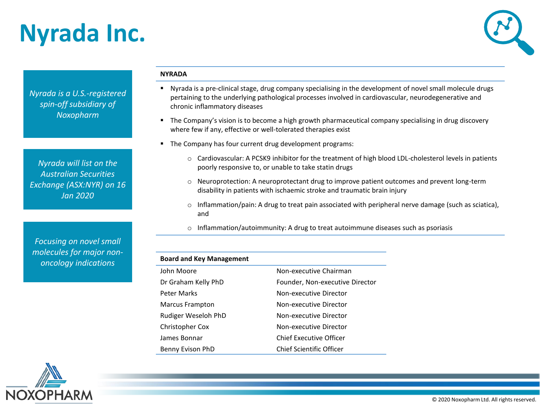### **Nyrada Inc.**



*Nyrada is a U.S.-registered spin-off subsidiary of Noxopharm*

*Nyrada will list on the Australian Securities Exchange (ASX:NYR) on 16 Jan 2020*

*Focusing on novel small molecules for major nononcology indications*

#### **NYRADA**

- Nyrada is a pre-clinical stage, drug company specialising in the development of novel small molecule drugs pertaining to the underlying pathological processes involved in cardiovascular, neurodegenerative and chronic inflammatory diseases
- **The Company's vision is to become a high growth pharmaceutical company specialising in drug discovery** where few if any, effective or well-tolerated therapies exist
- The Company has four current drug development programs:
	- $\circ$  Cardiovascular: A PCSK9 inhibitor for the treatment of high blood LDL-cholesterol levels in patients poorly responsive to, or unable to take statin drugs
	- o Neuroprotection: A neuroprotectant drug to improve patient outcomes and prevent long-term disability in patients with ischaemic stroke and traumatic brain injury
	- $\circ$  Inflammation/pain: A drug to treat pain associated with peripheral nerve damage (such as sciatica), and
	- $\circ$  Inflammation/autoimmunity: A drug to treat autoimmune diseases such as psoriasis

| <b>Board and Key Management</b> |                                 |
|---------------------------------|---------------------------------|
| John Moore                      | Non-executive Chairman          |
| Dr Graham Kelly PhD             | Founder, Non-executive Director |
| Peter Marks                     | Non-executive Director          |
| Marcus Frampton                 | Non-executive Director          |
| Rudiger Weseloh PhD             | Non-executive Director          |
| Christopher Cox                 | Non-executive Director          |
| James Bonnar                    | Chief Executive Officer         |
| Benny Evison PhD                | Chief Scientific Officer        |